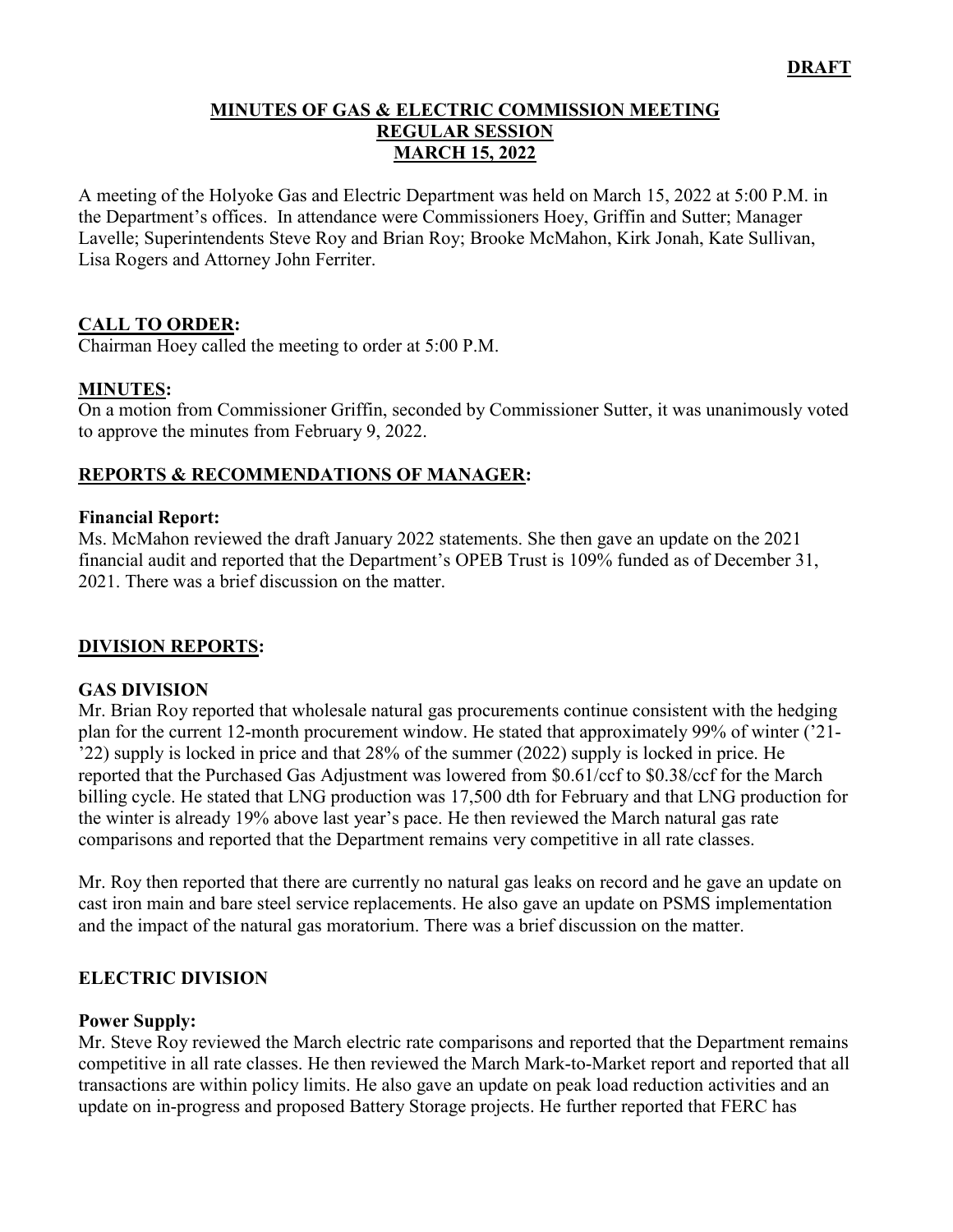### **MINUTES OF GAS & ELECTRIC COMMISSION MEETING REGULAR SESSION MARCH 15, 2022**

A meeting of the Holyoke Gas and Electric Department was held on March 15, 2022 at 5:00 P.M. in the Department's offices. In attendance were Commissioners Hoey, Griffin and Sutter; Manager Lavelle; Superintendents Steve Roy and Brian Roy; Brooke McMahon, Kirk Jonah, Kate Sullivan, Lisa Rogers and Attorney John Ferriter.

# **CALL TO ORDER:**

Chairman Hoey called the meeting to order at 5:00 P.M.

### **MINUTES:**

On a motion from Commissioner Griffin, seconded by Commissioner Sutter, it was unanimously voted to approve the minutes from February 9, 2022.

# **REPORTS & RECOMMENDATIONS OF MANAGER:**

#### **Financial Report:**

Ms. McMahon reviewed the draft January 2022 statements. She then gave an update on the 2021 financial audit and reported that the Department's OPEB Trust is 109% funded as of December 31, 2021. There was a brief discussion on the matter.

### **DIVISION REPORTS:**

### **GAS DIVISION**

Mr. Brian Roy reported that wholesale natural gas procurements continue consistent with the hedging plan for the current 12-month procurement window. He stated that approximately 99% of winter ('21- '22) supply is locked in price and that 28% of the summer (2022) supply is locked in price. He reported that the Purchased Gas Adjustment was lowered from \$0.61/ccf to \$0.38/ccf for the March billing cycle. He stated that LNG production was 17,500 dth for February and that LNG production for the winter is already 19% above last year's pace. He then reviewed the March natural gas rate comparisons and reported that the Department remains very competitive in all rate classes.

Mr. Roy then reported that there are currently no natural gas leaks on record and he gave an update on cast iron main and bare steel service replacements. He also gave an update on PSMS implementation and the impact of the natural gas moratorium. There was a brief discussion on the matter.

### **ELECTRIC DIVISION**

#### **Power Supply:**

Mr. Steve Roy reviewed the March electric rate comparisons and reported that the Department remains competitive in all rate classes. He then reviewed the March Mark-to-Market report and reported that all transactions are within policy limits. He also gave an update on peak load reduction activities and an update on in-progress and proposed Battery Storage projects. He further reported that FERC has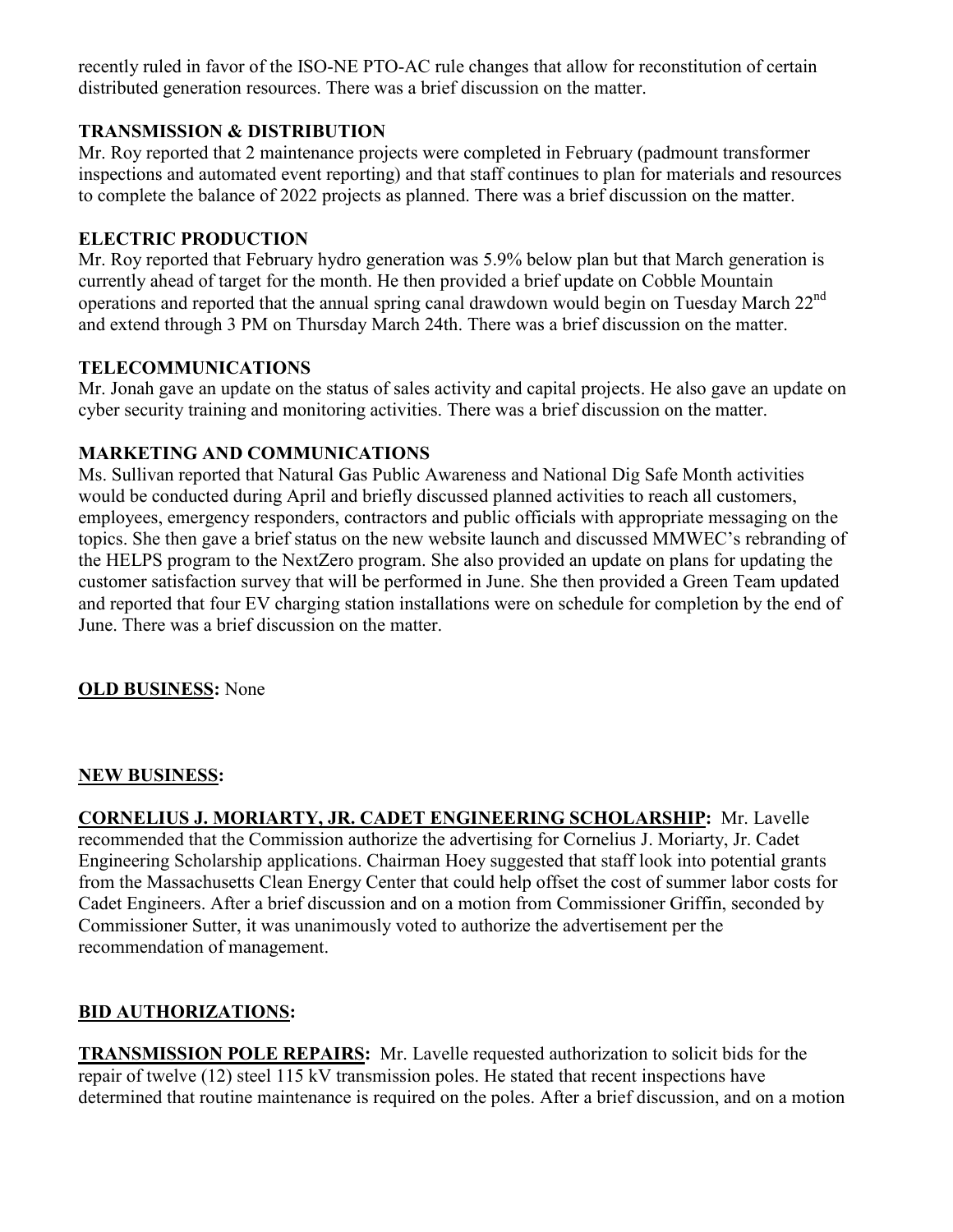recently ruled in favor of the ISO-NE PTO-AC rule changes that allow for reconstitution of certain distributed generation resources. There was a brief discussion on the matter.

# **TRANSMISSION & DISTRIBUTION**

Mr. Roy reported that 2 maintenance projects were completed in February (padmount transformer inspections and automated event reporting) and that staff continues to plan for materials and resources to complete the balance of 2022 projects as planned. There was a brief discussion on the matter.

## **ELECTRIC PRODUCTION**

Mr. Roy reported that February hydro generation was 5.9% below plan but that March generation is currently ahead of target for the month. He then provided a brief update on Cobble Mountain operations and reported that the annual spring canal drawdown would begin on Tuesday March 22<sup>nd</sup> and extend through 3 PM on Thursday March 24th. There was a brief discussion on the matter.

# **TELECOMMUNICATIONS**

Mr. Jonah gave an update on the status of sales activity and capital projects. He also gave an update on cyber security training and monitoring activities. There was a brief discussion on the matter.

# **MARKETING AND COMMUNICATIONS**

Ms. Sullivan reported that Natural Gas Public Awareness and National Dig Safe Month activities would be conducted during April and briefly discussed planned activities to reach all customers, employees, emergency responders, contractors and public officials with appropriate messaging on the topics. She then gave a brief status on the new website launch and discussed MMWEC's rebranding of the HELPS program to the NextZero program. She also provided an update on plans for updating the customer satisfaction survey that will be performed in June. She then provided a Green Team updated and reported that four EV charging station installations were on schedule for completion by the end of June. There was a brief discussion on the matter.

**OLD BUSINESS:** None

## **NEW BUSINESS:**

**CORNELIUS J. MORIARTY, JR. CADET ENGINEERING SCHOLARSHIP:** Mr. Lavelle recommended that the Commission authorize the advertising for Cornelius J. Moriarty, Jr. Cadet Engineering Scholarship applications. Chairman Hoey suggested that staff look into potential grants from the Massachusetts Clean Energy Center that could help offset the cost of summer labor costs for Cadet Engineers. After a brief discussion and on a motion from Commissioner Griffin, seconded by Commissioner Sutter, it was unanimously voted to authorize the advertisement per the recommendation of management.

# **BID AUTHORIZATIONS:**

**TRANSMISSION POLE REPAIRS:** Mr. Lavelle requested authorization to solicit bids for the repair of twelve (12) steel 115 kV transmission poles. He stated that recent inspections have determined that routine maintenance is required on the poles. After a brief discussion, and on a motion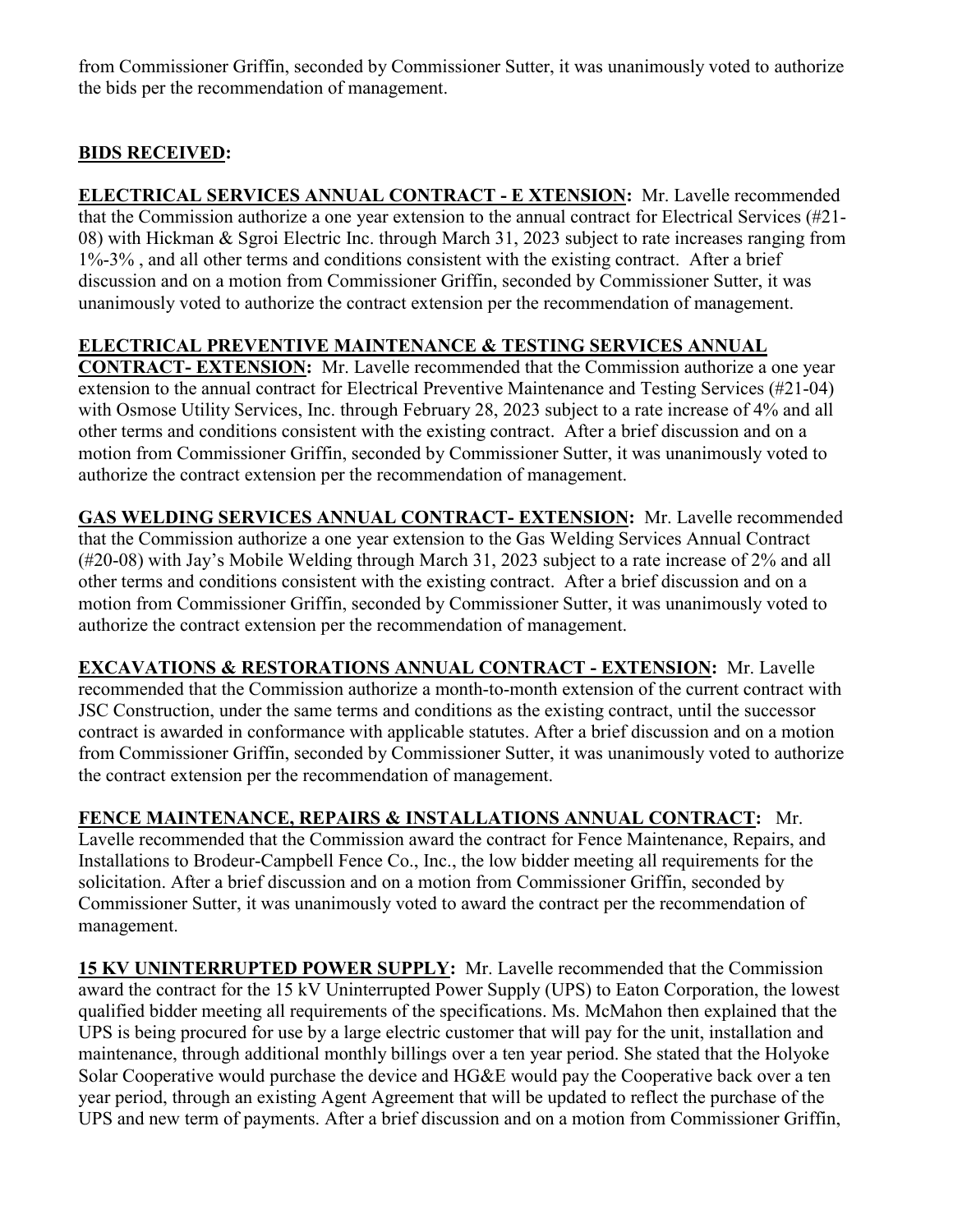from Commissioner Griffin, seconded by Commissioner Sutter, it was unanimously voted to authorize the bids per the recommendation of management.

# **BIDS RECEIVED:**

**ELECTRICAL SERVICES ANNUAL CONTRACT - E XTENSION:** Mr. Lavelle recommended that the Commission authorize a one year extension to the annual contract for Electrical Services (#21- 08) with Hickman & Sgroi Electric Inc. through March 31, 2023 subject to rate increases ranging from 1%-3% , and all other terms and conditions consistent with the existing contract. After a brief discussion and on a motion from Commissioner Griffin, seconded by Commissioner Sutter, it was unanimously voted to authorize the contract extension per the recommendation of management.

# **ELECTRICAL PREVENTIVE MAINTENANCE & TESTING SERVICES ANNUAL**

**CONTRACT- EXTENSION:** Mr. Lavelle recommended that the Commission authorize a one year extension to the annual contract for Electrical Preventive Maintenance and Testing Services (#21-04) with Osmose Utility Services, Inc. through February 28, 2023 subject to a rate increase of 4% and all other terms and conditions consistent with the existing contract. After a brief discussion and on a motion from Commissioner Griffin, seconded by Commissioner Sutter, it was unanimously voted to authorize the contract extension per the recommendation of management.

**GAS WELDING SERVICES ANNUAL CONTRACT- EXTENSION:** Mr. Lavelle recommended that the Commission authorize a one year extension to the Gas Welding Services Annual Contract (#20-08) with Jay's Mobile Welding through March 31, 2023 subject to a rate increase of 2% and all other terms and conditions consistent with the existing contract. After a brief discussion and on a motion from Commissioner Griffin, seconded by Commissioner Sutter, it was unanimously voted to authorize the contract extension per the recommendation of management.

**EXCAVATIONS & RESTORATIONS ANNUAL CONTRACT - EXTENSION:** Mr. Lavelle recommended that the Commission authorize a month-to-month extension of the current contract with JSC Construction, under the same terms and conditions as the existing contract, until the successor contract is awarded in conformance with applicable statutes. After a brief discussion and on a motion from Commissioner Griffin, seconded by Commissioner Sutter, it was unanimously voted to authorize the contract extension per the recommendation of management.

**FENCE MAINTENANCE, REPAIRS & INSTALLATIONS ANNUAL CONTRACT:** Mr. Lavelle recommended that the Commission award the contract for Fence Maintenance, Repairs, and Installations to Brodeur-Campbell Fence Co., Inc., the low bidder meeting all requirements for the solicitation. After a brief discussion and on a motion from Commissioner Griffin, seconded by Commissioner Sutter, it was unanimously voted to award the contract per the recommendation of management.

**15 KV UNINTERRUPTED POWER SUPPLY:** Mr. Lavelle recommended that the Commission award the contract for the 15 kV Uninterrupted Power Supply (UPS) to Eaton Corporation, the lowest qualified bidder meeting all requirements of the specifications. Ms. McMahon then explained that the UPS is being procured for use by a large electric customer that will pay for the unit, installation and maintenance, through additional monthly billings over a ten year period. She stated that the Holyoke Solar Cooperative would purchase the device and HG&E would pay the Cooperative back over a ten year period, through an existing Agent Agreement that will be updated to reflect the purchase of the UPS and new term of payments. After a brief discussion and on a motion from Commissioner Griffin,